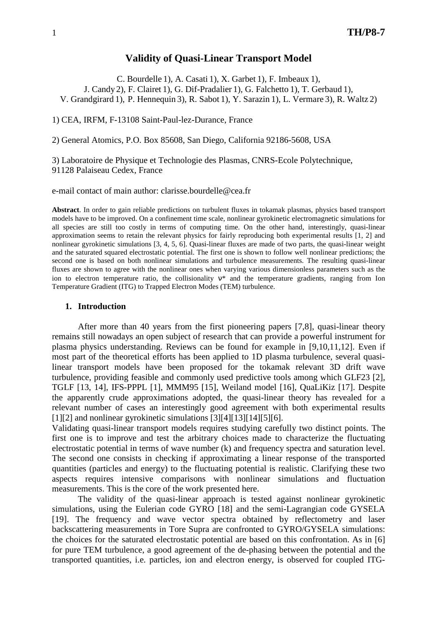### **Validity of Quasi-Linear Transport Model**

C. Bourdelle 1), A. Casati 1), X. Garbet 1), F. Imbeaux 1),

J. Candy 2), F. Clairet 1), G. Dif-Pradalier 1), G. Falchetto 1), T. Gerbaud 1),

V. Grandgirard 1), P. Hennequin 3), R. Sabot 1), Y. Sarazin 1), L. Vermare 3), R. Waltz 2)

1) CEA, IRFM, F-13108 Saint-Paul-lez-Durance, France

2) General Atomics, P.O. Box 85608, San Diego, California 92186-5608, USA

3) Laboratoire de Physique et Technologie des Plasmas, CNRS-Ecole Polytechnique, 91128 Palaiseau Cedex, France

e-mail contact of main author: clarisse.bourdelle@cea.fr

**Abstract**. In order to gain reliable predictions on turbulent fluxes in tokamak plasmas, physics based transport models have to be improved. On a confinement time scale, nonlinear gyrokinetic electromagnetic simulations for all species are still too costly in terms of computing time. On the other hand, interestingly, quasi-linear approximation seems to retain the relevant physics for fairly reproducing both experimental results [1, 2] and nonlinear gyrokinetic simulations [3, 4, 5, 6]. Quasi-linear fluxes are made of two parts, the quasi-linear weight and the saturated squared electrostatic potential. The first one is shown to follow well nonlinear predictions; the second one is based on both nonlinear simulations and turbulence measurements. The resulting quasi-linear fluxes are shown to agree with the nonlinear ones when varying various dimensionless parameters such as the ion to electron temperature ratio, the collisionality  $v^*$  and the temperature gradients, ranging from Ion Temperature Gradient (ITG) to Trapped Electron Modes (TEM) turbulence.

#### **1. Introduction**

After more than 40 years from the first pioneering papers [7,8], quasi-linear theory remains still nowadays an open subject of research that can provide a powerful instrument for plasma physics understanding. Reviews can be found for example in [9,10,11,12]. Even if most part of the theoretical efforts has been applied to 1D plasma turbulence, several quasilinear transport models have been proposed for the tokamak relevant 3D drift wave turbulence, providing feasible and commonly used predictive tools among which GLF23 [2], TGLF [13, 14], IFS-PPPL [1], MMM95 [15], Weiland model [16], QuaLiKiz [17]. Despite the apparently crude approximations adopted, the quasi-linear theory has revealed for a relevant number of cases an interestingly good agreement with both experimental results  $[1][2]$  and nonlinear gyrokinetic simulations  $[3][4][13][14][5][6]$ .

Validating quasi-linear transport models requires studying carefully two distinct points. The first one is to improve and test the arbitrary choices made to characterize the fluctuating electrostatic potential in terms of wave number (k) and frequency spectra and saturation level. The second one consists in checking if approximating a linear response of the transported quantities (particles and energy) to the fluctuating potential is realistic. Clarifying these two aspects requires intensive comparisons with nonlinear simulations and fluctuation measurements. This is the core of the work presented here.

The validity of the quasi-linear approach is tested against nonlinear gyrokinetic simulations, using the Eulerian code GYRO [18] and the semi-Lagrangian code GYSELA [19]. The frequency and wave vector spectra obtained by reflectometry and laser backscattering measurements in Tore Supra are confronted to GYRO/GYSELA simulations: the choices for the saturated electrostatic potential are based on this confrontation. As in [6] for pure TEM turbulence, a good agreement of the de-phasing between the potential and the transported quantities, i.e. particles, ion and electron energy, is observed for coupled ITG-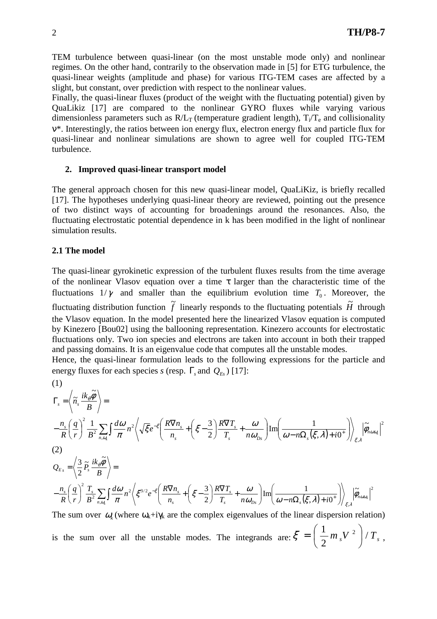TEM turbulence between quasi-linear (on the most unstable mode only) and nonlinear regimes. On the other hand, contrarily to the observation made in [5] for ETG turbulence, the quasi-linear weights (amplitude and phase) for various ITG-TEM cases are affected by a slight, but constant, over prediction with respect to the nonlinear values.

Finally, the quasi-linear fluxes (product of the weight with the fluctuating potential) given by QuaLikiz [17] are compared to the nonlinear GYRO fluxes while varying various dimensionless parameters such as  $R/L_T$  (temperature gradient length),  $T_i/T_e$  and collisionality ν\*. Interestingly, the ratios between ion energy flux, electron energy flux and particle flux for quasi-linear and nonlinear simulations are shown to agree well for coupled ITG-TEM turbulence.

### **2. Improved quasi-linear transport model**

The general approach chosen for this new quasi-linear model, QuaLiKiz, is briefly recalled [17]. The hypotheses underlying quasi-linear theory are reviewed, pointing out the presence of two distinct ways of accounting for broadenings around the resonances. Also, the fluctuating electrostatic potential dependence in k has been modified in the light of nonlinear simulation results.

### **2.1 The model**

The quasi-linear gyrokinetic expression of the turbulent fluxes results from the time average of the nonlinear Vlasov equation over a time  $\tau$  larger than the characteristic time of the fluctuations  $1/\gamma$  and smaller than the equilibrium evolution time  $T_0$ . Moreover, the fluctuating distribution function  $\tilde{f}$  linearly responds to the fluctuating potentials  $\tilde{H}$  through the Vlasov equation. In the model presented here the linearized Vlasov equation is computed by Kinezero [Bou02] using the ballooning representation. Kinezero accounts for electrostatic fluctuations only. Two ion species and electrons are taken into account in both their trapped and passing domains. It is an eigenvalue code that computes all the unstable modes.

Hence, the quasi-linear formulation leads to the following expressions for the particle and energy fluxes for each species *s* (resp. Γ*<sup>s</sup>* and *QEs* ) [17]:

(1)  
\n
$$
\Gamma_{s} = \left\langle \tilde{n}_{s} \frac{ik_{\theta} \tilde{\phi}}{B} \right\rangle =
$$
\n
$$
-\frac{n_{s}}{R} \left( \frac{q}{r} \right)^{2} \frac{1}{B^{2}} \sum_{n,\omega_{k}} \int \frac{d\omega}{\pi} n^{2} \left\langle \sqrt{\xi} e^{-\xi} \left( \frac{R \nabla n_{s}}{n_{s}} + \left( \xi - \frac{3}{2} \right) \frac{R \nabla T_{s}}{T_{s}} + \frac{\omega}{n \omega_{Ds}} \right) \text{Im} \left( \frac{1}{\omega - n \Omega_{s}(\xi, \lambda) + i0^{+}} \right) \right\rangle_{\xi, \lambda} \left| \tilde{\phi}_{n\omega\alpha} \right|^{2}
$$
\n(2)  
\n
$$
Q_{E_{s}} = \left\langle \frac{3}{2} \tilde{P}_{s} \frac{ik_{\theta} \tilde{\phi}}{B} \right\rangle =
$$
\n
$$
-\frac{n_{s}}{R} \left( \frac{q}{r} \right)^{2} \frac{T_{s}}{B^{2}} \sum_{n,\omega_{k}} \int \frac{d\omega}{\pi} n^{2} \left\langle \xi^{3/2} e^{-\xi} \left( \frac{R \nabla n_{s}}{n_{s}} + \left( \xi - \frac{3}{2} \right) \frac{R \nabla T_{s}}{T_{s}} + \frac{\omega}{n \omega_{Ds}} \right) \text{Im} \left( \frac{1}{\omega - n \Omega_{s}(\xi, \lambda) + i0^{+}} \right) \right\rangle_{\xi, \lambda} \left| \tilde{\phi}_{n\omega\omega_{k}} \right|^{2}
$$
\nThe sum over  $\Omega$  (when  $\Omega$ ) is the case the complex eigenvalues of the linear dispersion relation

The sum over  $\omega_k$  (where  $\omega_k + i\gamma_k$  are the complex eigenvalues of the linear dispersion relation) is the sum over all the unstable modes. The integrands are:  $\zeta = \frac{1}{2} m_s V^2 / T_s$ 2  $\frac{1}{2}m_{s}V^{2}$ J  $\backslash$  $\mathsf{I}$  $\setminus$ ſ  $\zeta = \frac{1}{2} m_s V^2 / T_s$ ,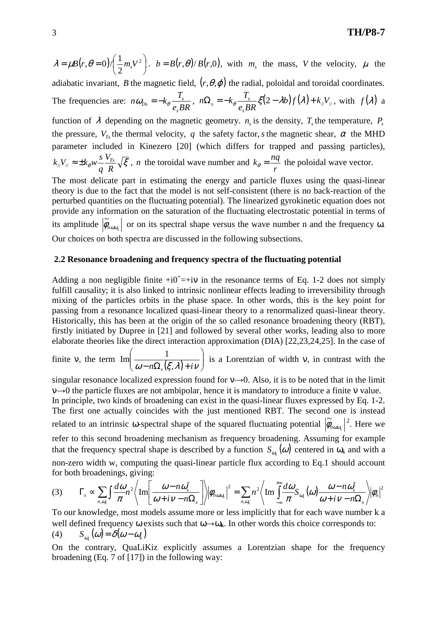$$
\lambda = \mu B(r, \theta = 0) / \left(\frac{1}{2} m_s V^2\right).
$$
  $b = B(r, \theta) / B(r, 0)$ , with  $m_s$  the mass, V the velocity,  $\mu$  the

adiabatic invariant, *B* the magnetic field,  $(r, \theta, \varphi)$  the radial, poloidal and toroidal coordinates. The frequencies are: *e BR*  $n\omega_{ps} = -k_{\theta} \frac{T}{T}$ *s*  $\omega_{Ds} = -k_{\theta} \frac{I_s}{e_s BR}$ ,  $n\Omega_s = -k_{\theta} \frac{I_s}{e_s BR} \xi(2 - \lambda b) f(\lambda) + k_{\theta} V_{\theta}$  $n\Omega_s = -k_\theta - \frac{T}{I}$ *s*  $\Omega_s = -k_\theta \frac{I_s}{\rho} \xi(2-\lambda b) f(\lambda) + k_N V_\theta$ , with  $f(\lambda)$  a function of  $\lambda$  depending on the magnetic geometry.  $n<sub>s</sub>$  is the density,  $T<sub>s</sub>$  the temperature,  $P<sub>s</sub>$ the pressure,  $V_{T_s}$  the thermal velocity, q the safety factor, *s* the magnetic shear,  $\alpha$  the MHD parameter included in Kinezero [20] (which differs for trapped and passing particles),  $\theta W - \frac{y_{Ts}}{R} \sqrt{\xi}$ *R V q*  $k_{\parallel}V_{\parallel} \approx \pm k_{\theta}w\frac{s}{q}\frac{V_{Ts}}{R}\sqrt{\xi}$ , *n* the toroidal wave number and  $k_{\theta} = \frac{m_{\theta}v_{\parallel}}{r}$  $k_{\theta} = \frac{nq}{r}$  the poloidal wave vector. The most delicate part in estimating the energy and particle fluxes using the quasi-linear

theory is due to the fact that the model is not self-consistent (there is no back-reaction of the perturbed quantities on the fluctuating potential). The linearized gyrokinetic equation does not provide any information on the saturation of the fluctuating electrostatic potential in terms of its amplitude  $\phi_{n\omega\omega_k}$  $\widetilde{\phi}_{\text{non}}$  or on its spectral shape versus the wave number n and the frequency  $\omega$ . Our choices on both spectra are discussed in the following subsections.

### **2.2 Resonance broadening and frequency spectra of the fluctuating potential**

Adding a non negligible finite  $+i0^{\dagger} = +i\nu$  in the resonance terms of Eq. 1-2 does not simply fulfill causality; it is also linked to intrinsic nonlinear effects leading to irreversibility through mixing of the particles orbits in the phase space. In other words, this is the key point for passing from a resonance localized quasi-linear theory to a renormalized quasi-linear theory. Historically, this has been at the origin of the so called resonance broadening theory (RBT), firstly initiated by Dupree in [21] and followed by several other works, leading also to more elaborate theories like the direct interaction approximation (DIA) [22,23,24,25]. In the case of

finite v, the term  $\text{Im}\left(\frac{1}{\omega - n\Omega_s(\xi,\lambda) + i\nu}\right)$ J  $\backslash$  $\overline{\phantom{a}}$  $\setminus$ ſ  $\omega - n\Omega_s(\xi,\lambda) + i\nu$  $\text{Im}\left[\frac{1}{\sqrt{(5/2)^2}}\right]$  is a Lorentzian of width v, in contrast with the

singular resonance localized expression found for  $v \rightarrow 0$ . Also, it is to be noted that in the limit  $v \rightarrow 0$  the particle fluxes are not ambipolar, hence it is mandatory to introduce a finite v value. In principle, two kinds of broadening can exist in the quasi-linear fluxes expressed by Eq. 1-2. The first one actually coincides with the just mentioned RBT. The second one is instead related to an intrinsic  $\omega$ -spectral shape of the squared fluctuating potential  $\phi_{n\omega\omega_k}$  $\widetilde{\phi}_{\text{non}}$   $|^{2}$ . Here we refer to this second broadening mechanism as frequency broadening. Assuming for example that the frequency spectral shape is described by a function  $S_{\omega_k}(\omega)$  centered in  $\omega_k$  and with a non-zero width w, computing the quasi-linear particle flux according to Eq.1 should account for both broadenings, giving:

$$
(3) \qquad \Gamma_s \propto \sum_{n,\omega_k} \int \frac{d\omega_n}{\pi} \left\{ \operatorname{Im} \left[ \frac{\omega - n\omega_s^*}{\omega + i\nu - n\Omega_s} \right] \right\} \left| \phi_{n\omega\omega_k} \right|^2 = \sum_{n,\omega_k} n^2 \left\langle \operatorname{Im} \int_{-\infty}^{+\infty} \frac{d\omega}{\pi} S_{\omega_k}(\omega) \frac{\omega - n\omega_s^*}{\omega + i\nu - n\Omega_s} \right\rangle \left| \phi_n \right|^2
$$

To our knowledge, most models assume more or less implicitly that for each wave number k a well defined frequency ω exists such that ω→ω<sub>k</sub>. In other words this choice corresponds to: (4)  $S_{\omega_k}(\omega) = \delta(\omega - \omega_k)$ 

On the contrary, QuaLiKiz explicitly assumes a Lorentzian shape for the frequency broadening (Eq. 7 of [17]) in the following way: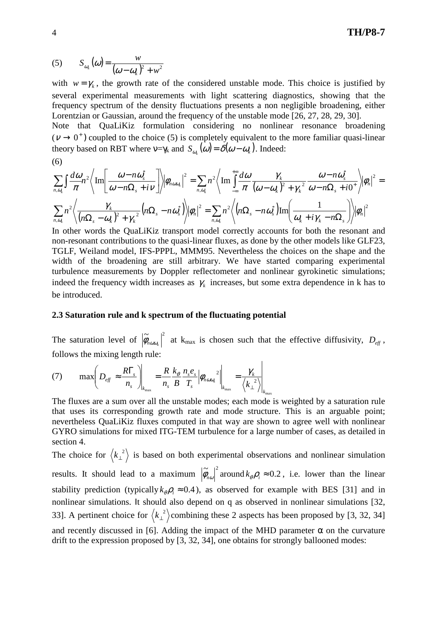$$
(5) \tS_{\omega_k}(\omega) = \frac{w}{(\omega - \omega_k)^2 + w^2}
$$

with  $w = \gamma_k$ , the growth rate of the considered unstable mode. This choice is justified by several experimental measurements with light scattering diagnostics, showing that the frequency spectrum of the density fluctuations presents a non negligible broadening, either Lorentzian or Gaussian, around the frequency of the unstable mode [26, 27, 28, 29, 30]. Note that QuaLiKiz formulation considering no nonlinear resonance broadening

 $(\nu \rightarrow 0^+)$  coupled to the choice (5) is completely equivalent to the more familiar quasi-linear theory based on RBT where  $v = \gamma_k$  and  $S_{\omega_k}(\omega) = \delta(\omega - \omega_k)$ . Indeed:

$$
(6)
$$

$$
\sum_{n,\omega_k} \int \frac{d\omega_n}{\pi} 2 \left\langle \operatorname{Im} \left[ \frac{\omega - n\omega_s^*}{\omega - n\Omega_s + i\nu} \right] \right\rangle \left| \phi_{n\omega\omega_k} \right|^2 = \sum_{n,\omega_k} n^2 \left\langle \operatorname{Im} \int_{-\infty}^{+\infty} \frac{d\omega}{\pi} \frac{\gamma_k}{(\omega - \omega_k)^2 + {\gamma_k}^2} \frac{\omega - n\omega_s^*}{\omega - n\Omega_s + i0^+} \right\rangle \left| \phi_n \right|^2 = \sum_{n,\omega_k} n^2 \left\langle \frac{\gamma_k}{(n\Omega_s - \omega_k)^2 + {\gamma_k}^2} \left( n\Omega_s - n\omega_s^* \right) \right\rangle \left| \phi_n \right|^2 = \sum_{n,\omega_k} n^2 \left\langle \left( n\Omega_s - n\omega_s^* \right) \operatorname{Im} \left( \frac{1}{\omega_k + i\gamma_k - n\Omega_s} \right) \right\rangle \left| \phi_n \right|^2
$$

In other words the QuaLiKiz transport model correctly accounts for both the resonant and non-resonant contributions to the quasi-linear fluxes, as done by the other models like GLF23, TGLF, Weiland model, IFS-PPPL, MMM95. Nevertheless the choices on the shape and the width of the broadening are still arbitrary. We have started comparing experimental turbulence measurements by Doppler reflectometer and nonlinear gyrokinetic simulations; indeed the frequency width increases as  $\gamma_k$  increases, but some extra dependence in k has to be introduced.

#### **2.3 Saturation rule and k spectrum of the fluctuating potential**

The saturation level of  $|\tilde{\phi}_{n\omega v_k}|^2$  at k<sub>max</sub> is chosen such that the effective diffusivity,  $D_{eff}$ , follows the mixing length rule:

 $\overline{1}$ 

$$
(7) \qquad \max \bigg(D_{\text{eff}} \approx \frac{R\Gamma_s}{n_s}\bigg)\bigg|_{k_{\text{max}}} = \frac{R}{n_s} \frac{k_\theta}{B} \frac{n_s e_s}{T_s} \bigg|\phi_{n\omega\omega_k}^2\bigg|\bigg|_{k_{\text{max}}} = \frac{\gamma_k}{\langle k_\perp^2\rangle}\bigg|\bigg|_{k_{\text{max}}}
$$

The fluxes are a sum over all the unstable modes; each mode is weighted by a saturation rule that uses its corresponding growth rate and mode structure. This is an arguable point; nevertheless QuaLiKiz fluxes computed in that way are shown to agree well with nonlinear GYRO simulations for mixed ITG-TEM turbulence for a large number of cases, as detailed in section 4.

The choice for  $\langle k_1^2 \rangle$  is based on both experimental observations and nonlinear simulation results. It should lead to a maximum  $|\tilde{\phi}_{n\omega}|^2$  around  $k_{\theta}\rho_i \approx 0.2$ , i.e. lower than the linear stability prediction (typically  $k_{\theta} \rho_i \approx 0.4$ ), as observed for example with BES [31] and in nonlinear simulations. It should also depend on q as observed in nonlinear simulations [32, 33]. A pertinent choice for  $\langle k_{\perp}^2 \rangle$  combining these 2 aspects has been proposed by [3, 32, 34] and recently discussed in [6]. Adding the impact of the MHD parameter  $\alpha$  on the curvature drift to the expression proposed by [3, 32, 34], one obtains for strongly ballooned modes: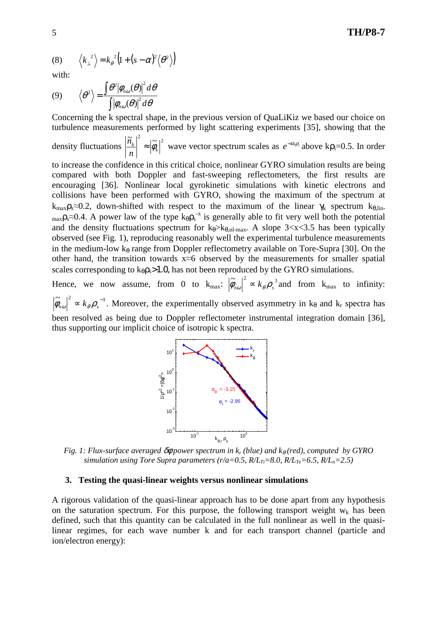(8) 
$$
\langle k_{\perp}^2 \rangle = k_{\theta}^2 (1 + (s - \alpha)^2 \langle \theta^2 \rangle)
$$

with:

(9) 
$$
\langle \theta^2 \rangle = \frac{\int \theta^2 |\phi_{n\omega}(\theta)|^2 d\theta}{\int |\phi_{n\omega}(\theta)|^2 d\theta}
$$

Concerning the k spectral shape, in the previous version of QuaLiKiz we based our choice on turbulence measurements performed by light scattering experiments [35], showing that the density fluctuations  $\left|\frac{\widetilde{n}_k}{\widetilde{\phi}_k}\right|^2 \approx |\widetilde{\phi}_k|^2$  $\left|\frac{k}{k}\right| \approx \left|\phi_k\right|$ *n*  $\left| \frac{\tilde{n}_k}{\tilde{n}_k} \right|^2$  wave vector spectrum scales as  $e^{-4k\rho_i}$  above k $\rho_i$ =0.5. In order to increase the confidence in this critical choice, nonlinear GYRO simulation results are being compared with both Doppler and fast-sweeping reflectometers, the first results are encouraging [36]. Nonlinear local gyrokinetic simulations with kinetic electrons and collisions have been performed with GYRO, showing the maximum of the spectrum at  $k_{max}\rho_s \approx 0.2$ , down-shifted with respect to the maximum of the linear  $\gamma_k$  spectrum  $k_{\theta,lin}$ .  $_{\text{max}}\rho_s \approx 0.4$ . A power law of the type  $k_{\theta} \rho_s^{-x}$  is generally able to fit very well both the potential and the density fluctuations spectrum for  $k_{\theta} > k_{\theta,n}$  and  $k_{\theta} > k_{\theta,n}$ . A slope 3<x <3.5 has been typically observed (see Fig. 1), reproducing reasonably well the experimental turbulence measurements in the medium-low  $k_\theta$  range from Doppler reflectometry available on Tore-Supra [30]. On the other hand, the transition towards x≈6 observed by the measurements for smaller spatial scales corresponding to  $k_{\theta} \rho_s > 1.0$ , has not been reproduced by the GYRO simulations.

Hence, we now assume, from 0 to  $k_{\text{max}}$ :  $|\tilde{\phi}_{n\omega}|^2 \propto k_{\theta} \rho_s^3$  and from  $k_{\text{max}}$  to infinity:  $|\tilde{\phi}_{n\omega}|^2 \propto k_{\theta} \rho_s^{-3}$ . Moreover, the experimentally observed asymmetry in k<sub>θ</sub> and k<sub>r</sub> spectra has been resolved as being due to Doppler reflectometer instrumental integration domain [36], thus supporting our implicit choice of isotropic k spectra.



*Fig. 1: Flux-surface averaged δ* $φ$  *power spectrum in k<sub><i>r*</sub> (blue) and k<sub>θ</sub> (red), computed by GYRO *simulation using Tore Supra parameters (r/a=0.5, R/LTi=8.0, R/LTe=6.5, R/Ln=2.5)*

#### **3. Testing the quasi-linear weights versus nonlinear simulations**

A rigorous validation of the quasi-linear approach has to be done apart from any hypothesis on the saturation spectrum. For this purpose, the following transport weight  $w_k$  has been defined, such that this quantity can be calculated in the full nonlinear as well in the quasilinear regimes, for each wave number k and for each transport channel (particle and ion/electron energy):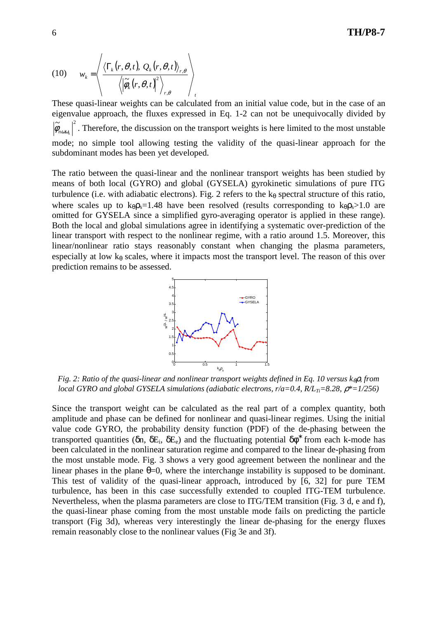(10) 
$$
w_k = \left\langle \frac{\langle \Gamma_k(r,\theta,t), Q_k(r,\theta,t) \rangle_{r,\theta}}{\langle \left| \widetilde{\phi}_k(r,\theta,t) \right|^2 \rangle_{r,\theta}} \right\rangle_t
$$

These quasi-linear weights can be calculated from an initial value code, but in the case of an eigenvalue approach, the fluxes expressed in Eq. 1-2 can not be unequivocally divided by  $\approx$   $\frac{1}{2}$  $\left|\phi_{n\omega w_k}\right|$ . Therefore, the discussion on the transport weights is here limited to the most unstable mode; no simple tool allowing testing the validity of the quasi-linear approach for the subdominant modes has been yet developed.

The ratio between the quasi-linear and the nonlinear transport weights has been studied by means of both local (GYRO) and global (GYSELA) gyrokinetic simulations of pure ITG turbulence (i.e. with adiabatic electrons). Fig. 2 refers to the  $k_{\theta}$  spectral structure of this ratio, where scales up to  $k_{\theta} \rho_s = 1.48$  have been resolved (results corresponding to  $k_{\theta} \rho_s > 1.0$  are omitted for GYSELA since a simplified gyro-averaging operator is applied in these range). Both the local and global simulations agree in identifying a systematic over-prediction of the linear transport with respect to the nonlinear regime, with a ratio around 1.5. Moreover, this linear/nonlinear ratio stays reasonably constant when changing the plasma parameters, especially at low  $k_{\theta}$  scales, where it impacts most the transport level. The reason of this over prediction remains to be assessed.



*Fig. 2: Ratio of the quasi-linear and nonlinear transport weights defined in Eq. 10 versus k<sub>θ</sub>ρ<sub><i>s</sub>* from</sub> *local GYRO and global GYSELA simulations (adiabatic electrons, r/a=0.4, R/LTi=8.28,* ρ*\*=1/256)* 

Since the transport weight can be calculated as the real part of a complex quantity, both amplitude and phase can be defined for nonlinear and quasi-linear regimes. Using the initial value code GYRO, the probability density function (PDF) of the de-phasing between the transported quantities (δn, δE<sub>i</sub>, δE<sub>e</sub>) and the fluctuating potential  $\delta\phi^*$  from each k-mode has been calculated in the nonlinear saturation regime and compared to the linear de-phasing from the most unstable mode. Fig. 3 shows a very good agreement between the nonlinear and the linear phases in the plane  $\theta$ =0, where the interchange instability is supposed to be dominant. This test of validity of the quasi-linear approach, introduced by [6, 32] for pure TEM turbulence, has been in this case successfully extended to coupled ITG-TEM turbulence. Nevertheless, when the plasma parameters are close to ITG/TEM transition (Fig. 3 d, e and f), the quasi-linear phase coming from the most unstable mode fails on predicting the particle transport (Fig 3d), whereas very interestingly the linear de-phasing for the energy fluxes remain reasonably close to the nonlinear values (Fig 3e and 3f).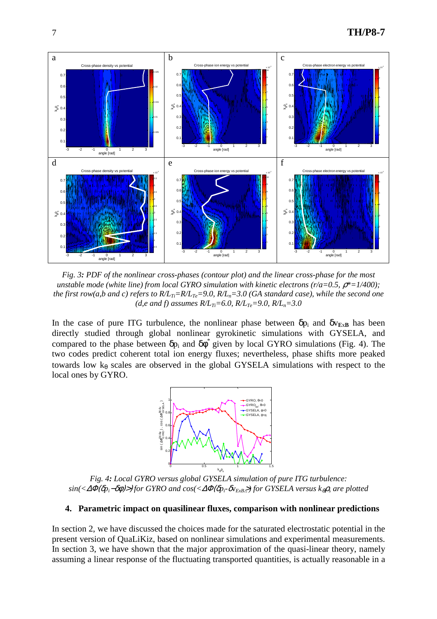

*Fig. 3: PDF of the nonlinear cross-phases (contour plot) and the linear cross-phase for the most unstable mode (white line) from local GYRO simulation with kinetic electrons (r/a=0.5,*  $\rho^*$ *=1/400); the first row(a,b and c) refers to*  $R/L_T = R/L_T = 9.0$ *,*  $R/L_T = 3.0$  *(GA standard case), while the second one (d,e and f) assumes*  $R/L_{Ti} = 6.0$ *,*  $R/L_{Te} = 9.0$ *,*  $R/L_n = 3.0$ 

In the case of pure ITG turbulence, the nonlinear phase between  $\delta p_i$  and  $\delta v_{ExB}$  has been directly studied through global nonlinear gyrokinetic simulations with GYSELA, and compared to the phase between  $\delta p_i$  and  $\delta \phi^*$  given by local GYRO simulations (Fig. 4). The two codes predict coherent total ion energy fluxes; nevertheless, phase shifts more peaked towards low  $k_{\theta}$  scales are observed in the global GYSELA simulations with respect to the local ones by GYRO.



*Fig. 4: Local GYRO versus global GYSELA simulation of pure ITG turbulence: sin(<*∆Φ(δ*pi*−δφ)>) *for GYRO and cos(<*∆Φ(δ*pi-*δv*ExB*<sup>&</sup>gt;-*) for GYSELA versus k*θρ*<sup>s</sup> are plotted*

#### **4. Parametric impact on quasilinear fluxes, comparison with nonlinear predictions**

In section 2, we have discussed the choices made for the saturated electrostatic potential in the present version of QuaLiKiz, based on nonlinear simulations and experimental measurements. In section 3, we have shown that the major approximation of the quasi-linear theory, namely assuming a linear response of the fluctuating transported quantities, is actually reasonable in a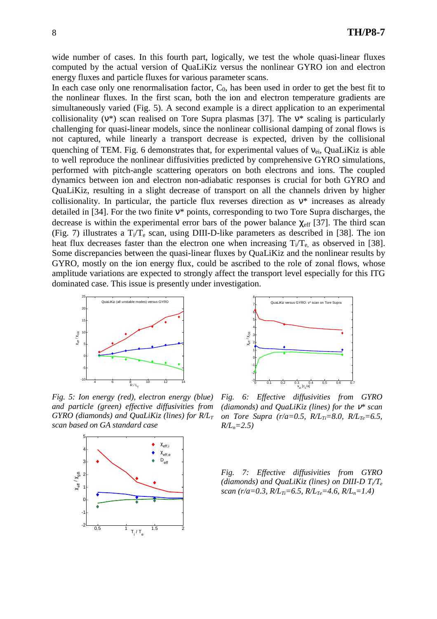wide number of cases. In this fourth part, logically, we test the whole quasi-linear fluxes computed by the actual version of QuaLiKiz versus the nonlinear GYRO ion and electron energy fluxes and particle fluxes for various parameter scans.

In each case only one renormalisation factor,  $C_0$ , has been used in order to get the best fit to the nonlinear fluxes. In the first scan, both the ion and electron temperature gradients are simultaneously varied (Fig. 5). A second example is a direct application to an experimental collisionality ( $v^*$ ) scan realised on Tore Supra plasmas [37]. The  $v^*$  scaling is particularly challenging for quasi-linear models, since the nonlinear collisional damping of zonal flows is not captured, while linearly a transport decrease is expected, driven by the collisional quenching of TEM. Fig. 6 demonstrates that, for experimental values of  $v_{ei}$ , QuaLiKiz is able to well reproduce the nonlinear diffusivities predicted by comprehensive GYRO simulations, performed with pitch-angle scattering operators on both electrons and ions. The coupled dynamics between ion and electron non-adiabatic responses is crucial for both GYRO and QuaLiKiz, resulting in a slight decrease of transport on all the channels driven by higher collisionality. In particular, the particle flux reverses direction as  $v^*$  increases as already detailed in [34]. For the two finite ν\* points, corresponding to two Tore Supra discharges, the decrease is within the experimental error bars of the power balance  $\chi_{\text{eff}}$  [37]. The third scan (Fig. 7) illustrates a  $T_i/T_e$  scan, using DIII-D-like parameters as described in [38]. The ion heat flux decreases faster than the electron one when increasing  $T_i/T_e$  as observed in [38]. Some discrepancies between the quasi-linear fluxes by QuaLiKiz and the nonlinear results by GYRO, mostly on the ion energy flux, could be ascribed to the role of zonal flows, whose amplitude variations are expected to strongly affect the transport level especially for this ITG dominated case. This issue is presently under investigation.



*Fig. 5: Ion energy (red), electron energy (blue) and particle (green) effective diffusivities from GYRO (diamonds) and QuaLiKiz (lines) for R/L<sup>T</sup> scan based on GA standard case*





*Fig. 6: Effective diffusivities from GYRO (diamonds) and QuaLiKiz (lines) for the* ν*\* scan on Tore Supra (r/a=0.5, R/LTi=8.0, R/LTe=6.5, R/Ln=2.5)* 

*Fig. 7: Effective diffusivities from GYRO (diamonds) and QuaLiKiz (lines) on DIII-D T<sup>i</sup> /T<sup>e</sup> scan (r/a=0.3, R/LTi=6.5, R/LTe=4.6, R/Ln=1.4)*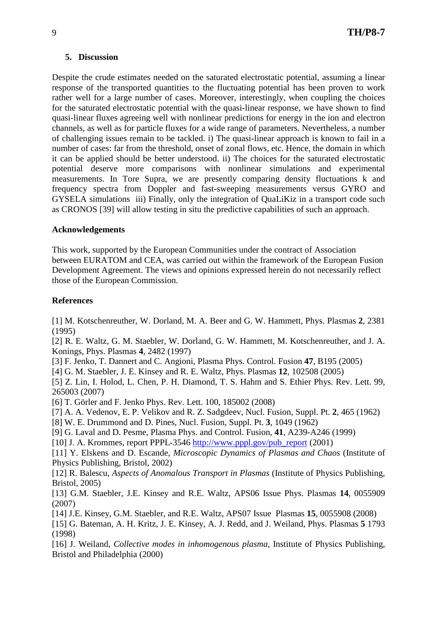# **5. Discussion**

Despite the crude estimates needed on the saturated electrostatic potential, assuming a linear response of the transported quantities to the fluctuating potential has been proven to work rather well for a large number of cases. Moreover, interestingly, when coupling the choices for the saturated electrostatic potential with the quasi-linear response, we have shown to find quasi-linear fluxes agreeing well with nonlinear predictions for energy in the ion and electron channels, as well as for particle fluxes for a wide range of parameters. Nevertheless, a number of challenging issues remain to be tackled. i) The quasi-linear approach is known to fail in a number of cases: far from the threshold, onset of zonal flows, etc. Hence, the domain in which it can be applied should be better understood. ii) The choices for the saturated electrostatic potential deserve more comparisons with nonlinear simulations and experimental measurements. In Tore Supra, we are presently comparing density fluctuations k and frequency spectra from Doppler and fast-sweeping measurements versus GYRO and GYSELA simulations iii) Finally, only the integration of QuaLiKiz in a transport code such as CRONOS [39] will allow testing in situ the predictive capabilities of such an approach.

# **Acknowledgements**

This work, supported by the European Communities under the contract of Association between EURATOM and CEA, was carried out within the framework of the European Fusion Development Agreement. The views and opinions expressed herein do not necessarily reflect those of the European Commission.

# **References**

[1] M. Kotschenreuther, W. Dorland, M. A. Beer and G. W. Hammett, Phys. Plasmas **2**, 2381 (1995)

[2] R. E. Waltz, G. M. Staebler, W. Dorland, G. W. Hammett, M. Kotschenreuther, and J. A. Konings, Phys. Plasmas **4**, 2482 (1997)

[3] F. Jenko, T. Dannert and C. Angioni, Plasma Phys. Control. Fusion **47**, B195 (2005)

[4] G. M. Staebler, J. E. Kinsey and R. E. Waltz, Phys. Plasmas **12**, 102508 (2005)

[5] Z. Lin, I. Holod, L. Chen, P. H. Diamond, T. S. Hahm and S. Ethier Phys. Rev. Lett. 99, 265003 (2007)

[6] T. Görler and F. Jenko Phys. Rev. Lett. 100, 185002 (2008)

[7] A. A. Vedenov, E. P. Velikov and R. Z. Sadgdeev, Nucl. Fusion, Suppl. Pt. **2**, 465 (1962)

[8] W. E. Drummond and D. Pines, Nucl. Fusion, Suppl. Pt. **3**, 1049 (1962)

[9] G. Laval and D. Pesme, Plasma Phys. and Control. Fusion, **41**, A239-A246 (1999)

[10] J. A. Krommes, report PPPL-3546 http://www.pppl.gov/pub\_report (2001)

[11] Y. Elskens and D. Escande, *Microscopic Dynamics of Plasmas and Chaos* (Institute of Physics Publishing, Bristol, 2002)

[12] R. Balescu, *Aspects of Anomalous Transport in Plasmas* (Institute of Physics Publishing, Bristol, 2005)

[13] G.M. Staebler, J.E. Kinsey and R.E. Waltz, APS06 Issue Phys. Plasmas **14**, 0055909 (2007)

[14] J.E. Kinsey, G.M. Staebler, and R.E. Waltz, APS07 Issue Plasmas **15**, 0055908 (2008)

[15] G. Bateman, A. H. Kritz, J. E. Kinsey, A. J. Redd, and J. Weiland, Phys. Plasmas **5** 1793 (1998)

[16] J. Weiland, *Collective modes in inhomogenous plasma,* Institute of Physics Publishing, Bristol and Philadelphia (2000)